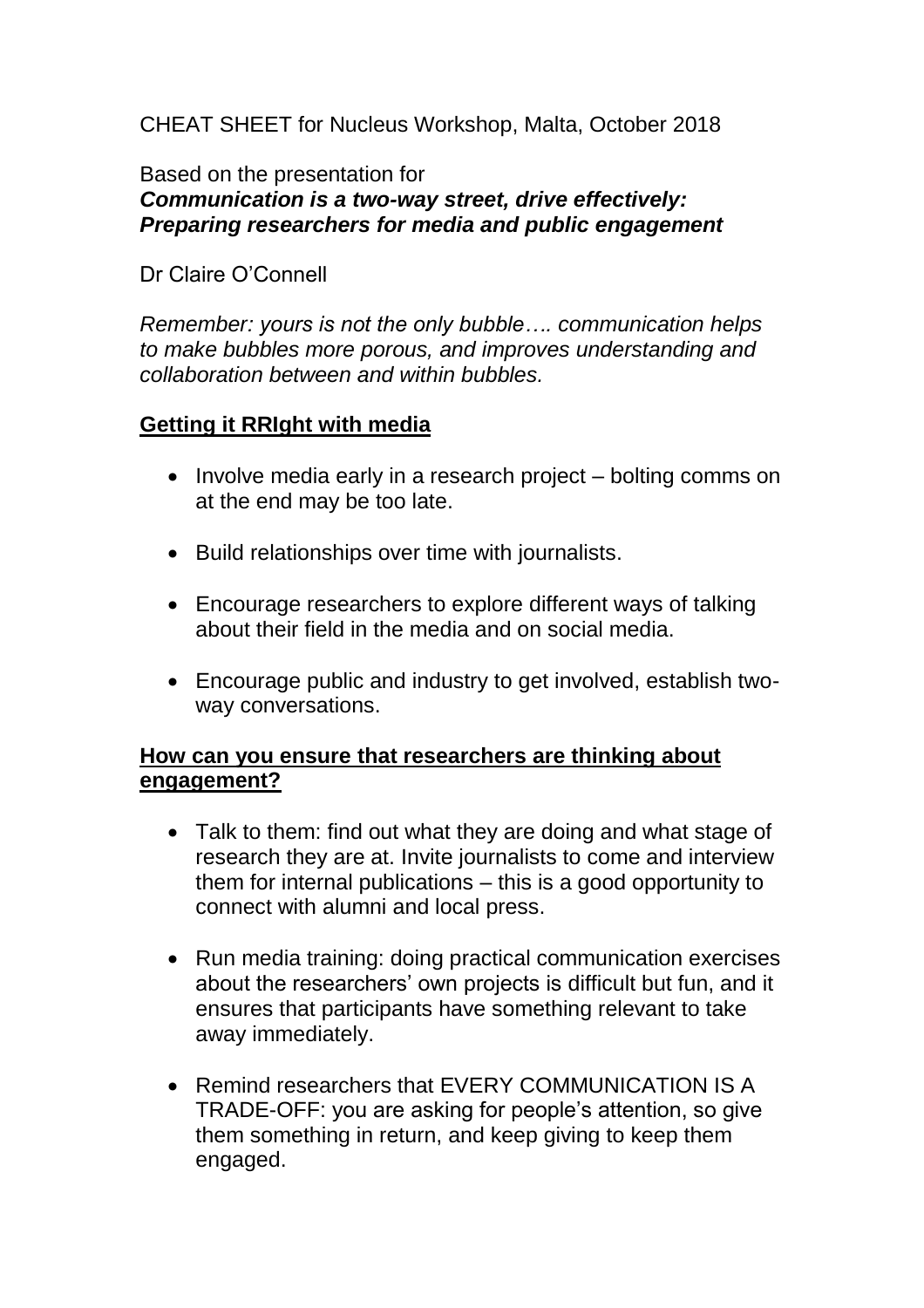CHEAT SHEET for Nucleus Workshop, Malta, October 2018

Based on the presentation for

# *Communication is a two-way street, drive effectively: Preparing researchers for media and public engagement*

### Dr Claire O'Connell

*Remember: yours is not the only bubble…. communication helps to make bubbles more porous, and improves understanding and collaboration between and within bubbles.*

## **Getting it RRIght with media**

- Involve media early in a research project bolting comms on at the end may be too late.
- Build relationships over time with journalists.
- Encourage researchers to explore different ways of talking about their field in the media and on social media.
- Encourage public and industry to get involved, establish twoway conversations.

## **How can you ensure that researchers are thinking about engagement?**

- Talk to them: find out what they are doing and what stage of research they are at. Invite journalists to come and interview them for internal publications – this is a good opportunity to connect with alumni and local press.
- Run media training: doing practical communication exercises about the researchers' own projects is difficult but fun, and it ensures that participants have something relevant to take away immediately.
- Remind researchers that EVERY COMMUNICATION IS A TRADE-OFF: you are asking for people's attention, so give them something in return, and keep giving to keep them engaged.